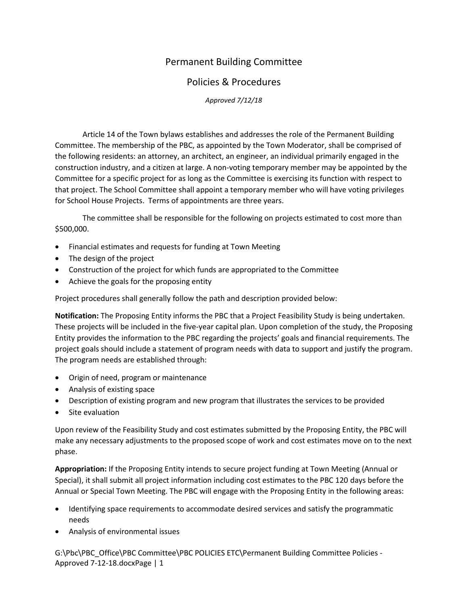## Permanent Building Committee

## Policies & Procedures

*Approved 7/12/18*

Article 14 of the Town bylaws establishes and addresses the role of the Permanent Building Committee. The membership of the PBC, as appointed by the Town Moderator, shall be comprised of the following residents: an attorney, an architect, an engineer, an individual primarily engaged in the construction industry, and a citizen at large. A non-voting temporary member may be appointed by the Committee for a specific project for as long as the Committee is exercising its function with respect to that project. The School Committee shall appoint a temporary member who will have voting privileges for School House Projects. Terms of appointments are three years.

The committee shall be responsible for the following on projects estimated to cost more than \$500,000.

- Financial estimates and requests for funding at Town Meeting
- The design of the project
- Construction of the project for which funds are appropriated to the Committee
- Achieve the goals for the proposing entity

Project procedures shall generally follow the path and description provided below:

**Notification:** The Proposing Entity informs the PBC that a Project Feasibility Study is being undertaken. These projects will be included in the five-year capital plan. Upon completion of the study, the Proposing Entity provides the information to the PBC regarding the projects' goals and financial requirements. The project goals should include a statement of program needs with data to support and justify the program. The program needs are established through:

- Origin of need, program or maintenance
- Analysis of existing space
- Description of existing program and new program that illustrates the services to be provided
- Site evaluation

Upon review of the Feasibility Study and cost estimates submitted by the Proposing Entity, the PBC will make any necessary adjustments to the proposed scope of work and cost estimates move on to the next phase.

**Appropriation:** If the Proposing Entity intends to secure project funding at Town Meeting (Annual or Special), it shall submit all project information including cost estimates to the PBC 120 days before the Annual or Special Town Meeting. The PBC will engage with the Proposing Entity in the following areas:

- Identifying space requirements to accommodate desired services and satisfy the programmatic needs
- Analysis of environmental issues

G:\Pbc\PBC\_Office\PBC\_Committee\PBC POLICIES ETC\Permanent Building Committee Policies -Approved 7-12-18.docxPage | 1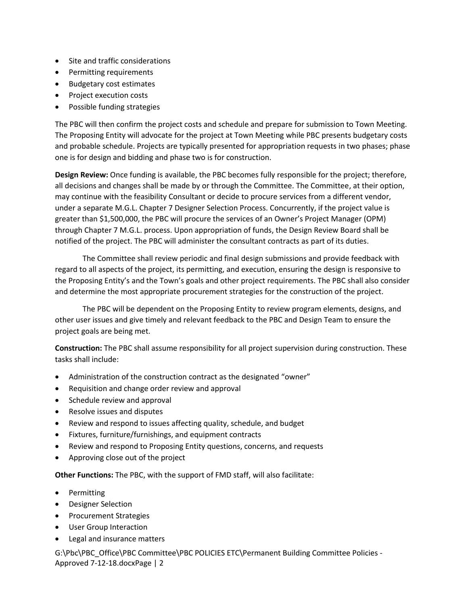- Site and traffic considerations
- Permitting requirements
- Budgetary cost estimates
- Project execution costs
- Possible funding strategies

The PBC will then confirm the project costs and schedule and prepare for submission to Town Meeting. The Proposing Entity will advocate for the project at Town Meeting while PBC presents budgetary costs and probable schedule. Projects are typically presented for appropriation requests in two phases; phase one is for design and bidding and phase two is for construction.

**Design Review:** Once funding is available, the PBC becomes fully responsible for the project; therefore, all decisions and changes shall be made by or through the Committee. The Committee, at their option, may continue with the feasibility Consultant or decide to procure services from a different vendor, under a separate M.G.L. Chapter 7 Designer Selection Process. Concurrently, if the project value is greater than \$1,500,000, the PBC will procure the services of an Owner's Project Manager (OPM) through Chapter 7 M.G.L. process. Upon appropriation of funds, the Design Review Board shall be notified of the project. The PBC will administer the consultant contracts as part of its duties.

The Committee shall review periodic and final design submissions and provide feedback with regard to all aspects of the project, its permitting, and execution, ensuring the design is responsive to the Proposing Entity's and the Town's goals and other project requirements. The PBC shall also consider and determine the most appropriate procurement strategies for the construction of the project.

The PBC will be dependent on the Proposing Entity to review program elements, designs, and other user issues and give timely and relevant feedback to the PBC and Design Team to ensure the project goals are being met.

**Construction:** The PBC shall assume responsibility for all project supervision during construction. These tasks shall include:

- Administration of the construction contract as the designated "owner"
- Requisition and change order review and approval
- Schedule review and approval
- Resolve issues and disputes
- Review and respond to issues affecting quality, schedule, and budget
- Fixtures, furniture/furnishings, and equipment contracts
- Review and respond to Proposing Entity questions, concerns, and requests
- Approving close out of the project

**Other Functions:** The PBC, with the support of FMD staff, will also facilitate:

- Permitting
- Designer Selection
- Procurement Strategies
- User Group Interaction
- Legal and insurance matters

G:\Pbc\PBC\_Office\PBC\_Committee\PBC POLICIES ETC\Permanent Building Committee Policies -Approved 7-12-18.docxPage | 2